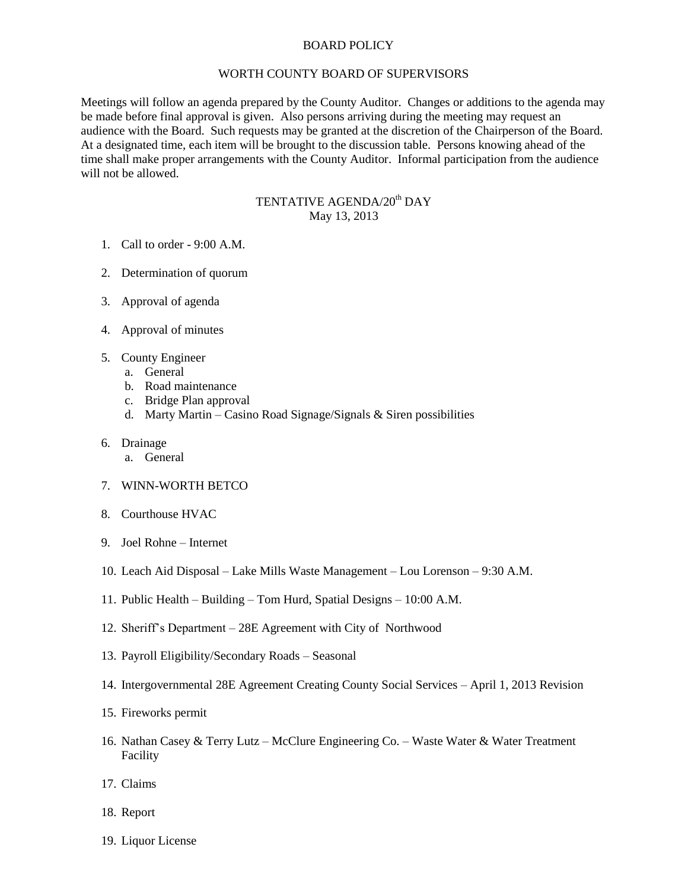## BOARD POLICY

## WORTH COUNTY BOARD OF SUPERVISORS

Meetings will follow an agenda prepared by the County Auditor. Changes or additions to the agenda may be made before final approval is given. Also persons arriving during the meeting may request an audience with the Board. Such requests may be granted at the discretion of the Chairperson of the Board. At a designated time, each item will be brought to the discussion table. Persons knowing ahead of the time shall make proper arrangements with the County Auditor. Informal participation from the audience will not be allowed.

## TENTATIVE AGENDA/20<sup>th</sup> DAY May 13, 2013

- 1. Call to order 9:00 A.M.
- 2. Determination of quorum
- 3. Approval of agenda
- 4. Approval of minutes
- 5. County Engineer
	- a. General
	- b. Road maintenance
	- c. Bridge Plan approval
	- d. Marty Martin Casino Road Signage/Signals  $&$  Siren possibilities
- 6. Drainage
	- a. General
- 7. WINN-WORTH BETCO
- 8. Courthouse HVAC
- 9. Joel Rohne Internet
- 10. Leach Aid Disposal Lake Mills Waste Management Lou Lorenson 9:30 A.M.
- 11. Public Health Building Tom Hurd, Spatial Designs 10:00 A.M.
- 12. Sheriff's Department 28E Agreement with City of Northwood
- 13. Payroll Eligibility/Secondary Roads Seasonal
- 14. Intergovernmental 28E Agreement Creating County Social Services April 1, 2013 Revision
- 15. Fireworks permit
- 16. Nathan Casey & Terry Lutz McClure Engineering Co. Waste Water & Water Treatment Facility
- 17. Claims
- 18. Report
- 19. Liquor License